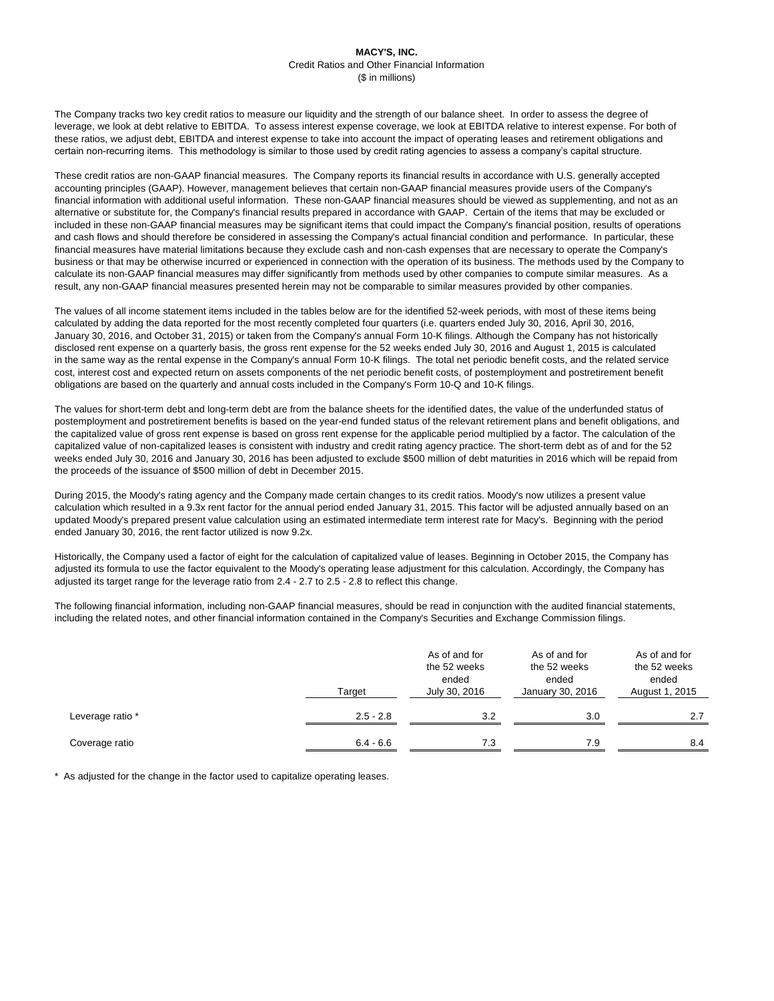The Company tracks two key credit ratios to measure our liquidity and the strength of our balance sheet. In order to assess the degree of leverage, we look at debt relative to EBITDA. To assess interest expense coverage, we look at EBITDA relative to interest expense. For both of these ratios, we adjust debt, EBITDA and interest expense to take into account the impact of operating leases and retirement obligations and certain non-recurring items. This methodology is similar to those used by credit rating agencies to assess a company's capital structure.

These credit ratios are non-GAAP financial measures. The Company reports its financial results in accordance with U.S. generally accepted accounting principles (GAAP). However, management believes that certain non-GAAP financial measures provide users of the Company's financial information with additional useful information. These non-GAAP financial measures should be viewed as supplementing, and not as an alternative or substitute for, the Company's financial results prepared in accordance with GAAP. Certain of the items that may be excluded or included in these non-GAAP financial measures may be significant items that could impact the Company's financial position, results of operations and cash flows and should therefore be considered in assessing the Company's actual financial condition and performance. In particular, these financial measures have material limitations because they exclude cash and non-cash expenses that are necessary to operate the Company's business or that may be otherwise incurred or experienced in connection with the operation of its business. The methods used by the Company to calculate its non-GAAP financial measures may differ significantly from methods used by other companies to compute similar measures. As a result, any non-GAAP financial measures presented herein may not be comparable to similar measures provided by other companies.

The values of all income statement items included in the tables below are for the identified 52-week periods, with most of these items being calculated by adding the data reported for the most recently completed four quarters (i.e. quarters ended July 30, 2016, April 30, 2016, January 30, 2016, and October 31, 2015) or taken from the Company's annual Form 10-K filings. Although the Company has not historically disclosed rent expense on a quarterly basis, the gross rent expense for the 52 weeks ended July 30, 2016 and August 1, 2015 is calculated in the same way as the rental expense in the Company's annual Form 10-K filings. The total net periodic benefit costs, and the related service cost, interest cost and expected return on assets components of the net periodic benefit costs, of postemployment and postretirement benefit obligations are based on the quarterly and annual costs included in the Company's Form 10-Q and 10-K filings.

The values for short-term debt and long-term debt are from the balance sheets for the identified dates, the value of the underfunded status of postemployment and postretirement benefits is based on the year-end funded status of the relevant retirement plans and benefit obligations, and the capitalized value of gross rent expense is based on gross rent expense for the applicable period multiplied by a factor. The calculation of the capitalized value of non-capitalized leases is consistent with industry and credit rating agency practice. The short-term debt as of and for the 52 weeks ended July 30, 2016 and January 30, 2016 has been adjusted to exclude \$500 million of debt maturities in 2016 which will be repaid from the proceeds of the issuance of \$500 million of debt in December 2015.

During 2015, the Moody's rating agency and the Company made certain changes to its credit ratios. Moody's now utilizes a present value calculation which resulted in a 9.3x rent factor for the annual period ended January 31, 2015. This factor will be adjusted annually based on an updated Moody's prepared present value calculation using an estimated intermediate term interest rate for Macy's. Beginning with the period ended January 30, 2016, the rent factor utilized is now 9.2x.

Historically, the Company used a factor of eight for the calculation of capitalized value of leases. Beginning in October 2015, the Company has adjusted its formula to use the factor equivalent to the Moody's operating lease adjustment for this calculation. Accordingly, the Company has adjusted its target range for the leverage ratio from 2.4 - 2.7 to 2.5 - 2.8 to reflect this change.

The following financial information, including non-GAAP financial measures, should be read in conjunction with the audited financial statements, including the related notes, and other financial information contained in the Company's Securities and Exchange Commission filings.

|                  | Target      | As of and for<br>the 52 weeks<br>ended<br>July 30, 2016 | As of and for<br>the 52 weeks<br>ended<br>January 30, 2016 | As of and for<br>the 52 weeks<br>ended<br>August 1, 2015 |  |
|------------------|-------------|---------------------------------------------------------|------------------------------------------------------------|----------------------------------------------------------|--|
| Leverage ratio * | $2.5 - 2.8$ | 3.2                                                     | 3.0                                                        | 2.7                                                      |  |
| Coverage ratio   | $6.4 - 6.6$ | 7.3                                                     | 7.9                                                        | 8.4                                                      |  |

\* As adjusted for the change in the factor used to capitalize operating leases.

## **MACY'S, INC.** Credit Ratios and Other Financial Information (\$ in millions)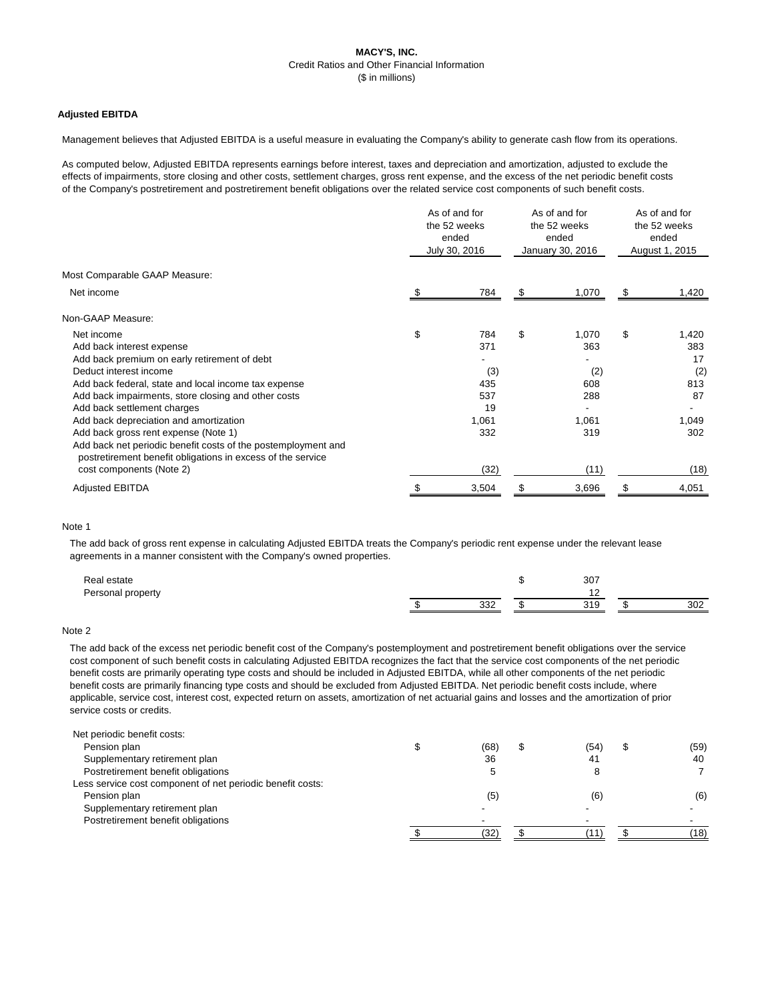# **MACY'S, INC.** Credit Ratios and Other Financial Information (\$ in millions)

## **Adjusted EBITDA**

Management believes that Adjusted EBITDA is a useful measure in evaluating the Company's ability to generate cash flow from its operations.

As computed below, Adjusted EBITDA represents earnings before interest, taxes and depreciation and amortization, adjusted to exclude the effects of impairments, store closing and other costs, settlement charges, gross rent expense, and the excess of the net periodic benefit costs of the Company's postretirement and postretirement benefit obligations over the related service cost components of such benefit costs.

|                                                                                                                              | As of and for<br>the 52 weeks<br>ended<br>July 30, 2016 |       | As of and for<br>the 52 weeks<br>ended<br>January 30, 2016 |       | As of and for<br>the 52 weeks<br>ended<br>August 1, 2015 |       |
|------------------------------------------------------------------------------------------------------------------------------|---------------------------------------------------------|-------|------------------------------------------------------------|-------|----------------------------------------------------------|-------|
| Most Comparable GAAP Measure:                                                                                                |                                                         |       |                                                            |       |                                                          |       |
| Net income                                                                                                                   |                                                         | 784   | S.                                                         | 1,070 | S                                                        | 1,420 |
| Non-GAAP Measure:                                                                                                            |                                                         |       |                                                            |       |                                                          |       |
| Net income                                                                                                                   | \$                                                      | 784   | \$                                                         | 1,070 | \$                                                       | 1,420 |
| Add back interest expense                                                                                                    |                                                         | 371   |                                                            | 363   |                                                          | 383   |
| Add back premium on early retirement of debt                                                                                 |                                                         |       |                                                            |       |                                                          | 17    |
| Deduct interest income                                                                                                       |                                                         | (3)   |                                                            | (2)   |                                                          | (2)   |
| Add back federal, state and local income tax expense                                                                         |                                                         | 435   |                                                            | 608   |                                                          | 813   |
| Add back impairments, store closing and other costs                                                                          |                                                         | 537   |                                                            | 288   |                                                          | 87    |
| Add back settlement charges                                                                                                  |                                                         | 19    |                                                            |       |                                                          |       |
| Add back depreciation and amortization                                                                                       |                                                         | 1,061 |                                                            | 1,061 |                                                          | 1,049 |
| Add back gross rent expense (Note 1)                                                                                         |                                                         | 332   |                                                            | 319   |                                                          | 302   |
| Add back net periodic benefit costs of the postemployment and<br>postretirement benefit obligations in excess of the service |                                                         |       |                                                            |       |                                                          |       |
| cost components (Note 2)                                                                                                     |                                                         | (32)  |                                                            | (11)  |                                                          | (18)  |
| <b>Adjusted EBITDA</b>                                                                                                       |                                                         | 3,504 |                                                            | 3,696 |                                                          | 4,051 |

### Note 1

The add back of gross rent expense in calculating Adjusted EBITDA treats the Company's periodic rent expense under the relevant lease agreements in a manner consistent with the Company's owned properties.

| Real estate       |     | 307                  |     |
|-------------------|-----|----------------------|-----|
| Personal property |     |                      |     |
|                   | 332 | 310<br><u> 7 I J</u> | 302 |

### Note 2

The add back of the excess net periodic benefit cost of the Company's postemployment and postretirement benefit obligations over the service cost component of such benefit costs in calculating Adjusted EBITDA recognizes the fact that the service cost components of the net periodic benefit costs are primarily operating type costs and should be included in Adjusted EBITDA, while all other components of the net periodic benefit costs are primarily financing type costs and should be excluded from Adjusted EBITDA. Net periodic benefit costs include, where applicable, service cost, interest cost, expected return on assets, amortization of net actuarial gains and losses and the amortization of prior service costs or credits.

| Net periodic benefit costs:                                |      |                |      |
|------------------------------------------------------------|------|----------------|------|
| Pension plan                                               | (68) | (54)           | (59) |
| Supplementary retirement plan                              | 36   | 4 <sup>1</sup> | 40   |
| Postretirement benefit obligations                         |      |                |      |
| Less service cost component of net periodic benefit costs: |      |                |      |
| Pension plan                                               | (5   | (6)            | (6)  |

Supplementary retirement plan Postretirement benefit obligations

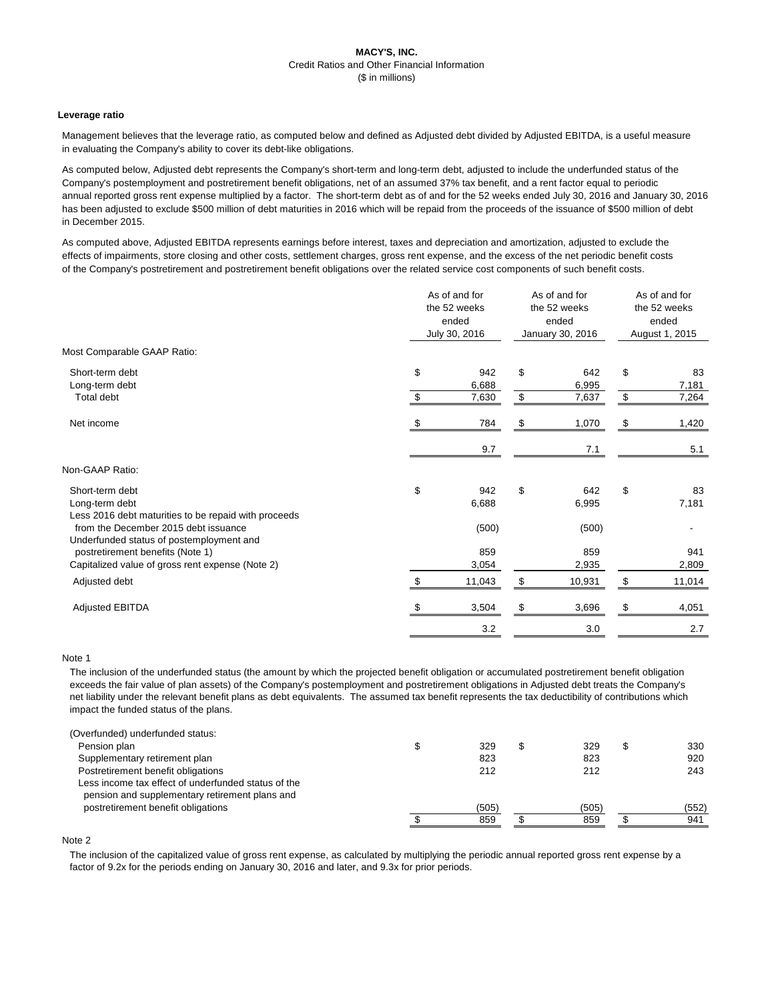# **MACY'S, INC.** Credit Ratios and Other Financial Information (\$ in millions)

## **Leverage ratio**

Management believes that the leverage ratio, as computed below and defined as Adjusted debt divided by Adjusted EBITDA, is a useful measure in evaluating the Company's ability to cover its debt-like obligations.

As computed below, Adjusted debt represents the Company's short-term and long-term debt, adjusted to include the underfunded status of the Company's postemployment and postretirement benefit obligations, net of an assumed 37% tax benefit, and a rent factor equal to periodic annual reported gross rent expense multiplied by a factor. The short-term debt as of and for the 52 weeks ended July 30, 2016 and January 30, 2016 has been adjusted to exclude \$500 million of debt maturities in 2016 which will be repaid from the proceeds of the issuance of \$500 million of debt in December 2015.

As computed above, Adjusted EBITDA represents earnings before interest, taxes and depreciation and amortization, adjusted to exclude the effects of impairments, store closing and other costs, settlement charges, gross rent expense, and the excess of the net periodic benefit costs of the Company's postretirement and postretirement benefit obligations over the related service cost components of such benefit costs.

|                                                                                           | As of and for<br>the 52 weeks<br>ended<br>July 30, 2016 |              | As of and for<br>the 52 weeks<br>ended<br>January 30, 2016 |              | As of and for<br>the 52 weeks<br>ended<br>August 1, 2015 |              |
|-------------------------------------------------------------------------------------------|---------------------------------------------------------|--------------|------------------------------------------------------------|--------------|----------------------------------------------------------|--------------|
| Most Comparable GAAP Ratio:                                                               |                                                         |              |                                                            |              |                                                          |              |
| Short-term debt<br>Long-term debt                                                         | \$                                                      | 942<br>6,688 | \$                                                         | 642<br>6,995 | \$                                                       | 83<br>7,181  |
| Total debt                                                                                | \$                                                      | 7,630        | $\boldsymbol{\mathsf{\$}}$                                 | 7,637        | $\boldsymbol{\mathsf{\$}}$                               | 7,264        |
| Net income                                                                                | \$                                                      | 784          | \$                                                         | 1,070        | \$                                                       | 1,420        |
|                                                                                           |                                                         | 9.7          |                                                            | 7.1          |                                                          | 5.1          |
| Non-GAAP Ratio:                                                                           |                                                         |              |                                                            |              |                                                          |              |
| Short-term debt<br>Long-term debt<br>Less 2016 debt maturities to be repaid with proceeds | \$                                                      | 942<br>6,688 | \$                                                         | 642<br>6,995 | \$                                                       | 83<br>7,181  |
| from the December 2015 debt issuance<br>Underfunded status of postemployment and          |                                                         | (500)        |                                                            | (500)        |                                                          |              |
| postretirement benefits (Note 1)<br>Capitalized value of gross rent expense (Note 2)      |                                                         | 859<br>3,054 |                                                            | 859<br>2,935 |                                                          | 941<br>2,809 |
| Adjusted debt                                                                             | $\mathfrak{L}$                                          | 11,043       | \$                                                         | 10,931       | $\boldsymbol{\mathsf{S}}$                                | 11,014       |
| <b>Adjusted EBITDA</b>                                                                    |                                                         | 3,504        |                                                            | 3,696        |                                                          | 4,051        |
|                                                                                           |                                                         | 3.2          |                                                            | 3.0          |                                                          | 2.7          |

### Note 1

The inclusion of the underfunded status (the amount by which the projected benefit obligation or accumulated postretirement benefit obligation exceeds the fair value of plan assets) of the Company's postemployment and postretirement obligations in Adjusted debt treats the Company's net liability under the relevant benefit plans as debt equivalents. The assumed tax benefit represents the tax deductibility of contributions which impact the funded status of the plans.

| (Overfunded) underfunded status:                    |     |     |     |
|-----------------------------------------------------|-----|-----|-----|
| Pension plan                                        | 329 | 329 | 330 |
| Supplementary retirement plan                       | 823 | 823 | 920 |
| Postretirement benefit obligations                  | 212 | 212 | 243 |
| Less income tax effect of underfunded status of the |     |     |     |
|                                                     |     |     |     |

pension and supplementary retirement plans and



#### Note 2

The inclusion of the capitalized value of gross rent expense, as calculated by multiplying the periodic annual reported gross rent expense by a factor of 9.2x for the periods ending on January 30, 2016 and later, and 9.3x for prior periods.